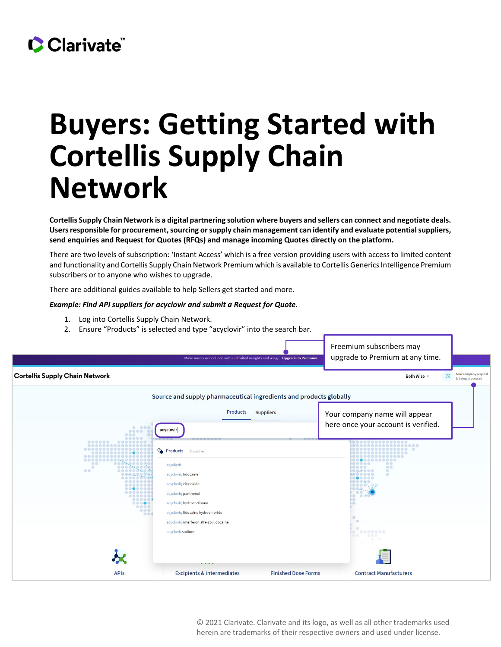## CClarivate

## **Buyers: Getting Started with Cortellis Supply Chain Network**

**Cortellis Supply Chain Network is a digital partnering solution where buyers and sellers can connect and negotiate deals. Users responsible for procurement, sourcing or supply chain management can identify and evaluate potential suppliers, send enquiries and Request for Quotes (RFQs) and manage incoming Quotes directly on the platform.**

There are two levels of subscription: 'Instant Access' which is a free version providing users with access to limited content and functionality and Cortellis Supply Chain Network Premium which is available to Cortellis Generics Intelligence Premium subscribers or to anyone who wishes to upgrade.

There are additional guides available to help Sellers get started and more.

## *Example: Find API suppliers for acyclovir and submit a Request for Quote.*

- 1. Log into Cortellis Supply Chain Network.
- 2. Ensure "Products" is selected and type "acyclovir" into the search bar.

|                                                                                                   | Make more connections with unlimited insights and usage. Upgrade to Premium                                                                                                                                                                         |                            | Freemium subscribers may<br>upgrade to Premium at any time.                                                                                                       |                                            |
|---------------------------------------------------------------------------------------------------|-----------------------------------------------------------------------------------------------------------------------------------------------------------------------------------------------------------------------------------------------------|----------------------------|-------------------------------------------------------------------------------------------------------------------------------------------------------------------|--------------------------------------------|
| <b>Cortellis Supply Chain Network</b>                                                             |                                                                                                                                                                                                                                                     |                            | $\mathcal{O}$<br>Beth Wise -                                                                                                                                      | Your company request<br>is being processed |
|                                                                                                   | Source and supply pharmaceutical ingredients and products globally                                                                                                                                                                                  |                            |                                                                                                                                                                   |                                            |
| .0.000<br>888                                                                                     | <b>Products</b><br>acyclovir                                                                                                                                                                                                                        | <b>Suppliers</b>           | Your company name will appear<br>here once your account is verified.                                                                                              |                                            |
| <br><br><br><br><br>00<br><br><br>o dare-<br>ののの場<br><br><b>DOO</b><br><br><br><br><br>000<br>000 | Products<br>8 matches<br>acyclovir<br>acyclovir; lidocaine<br>acyclovir; zinc oxide<br>acyclovir; panthenol<br>acyclovir; hydrocortisone<br>acyclovir; lidocaine hydrochloride<br>acyclovir; interferon alfa-2b; lidocaine<br>acyclovir sodium<br>. |                            | .<br><br>.<br>$\circ$<br>最低杂趣<br>.<br>œ<br>.<br><br><br>0.0000, 0.00<br>0.00.<br>$-00$<br>10 000<br><b>DO</b><br>) (D<br>œ<br>HD.<br>0.0000000<br>e o<br>$-0.0.0$ |                                            |
| <b>APIs</b>                                                                                       | <b>Excipients &amp; Intermediates</b>                                                                                                                                                                                                               | <b>Finished Dose Forms</b> | <b>Contract Manufacturers</b>                                                                                                                                     |                                            |

© 2021 Clarivate. Clarivate and its logo, as well as all other trademarks used herein are trademarks of their respective owners and used under license.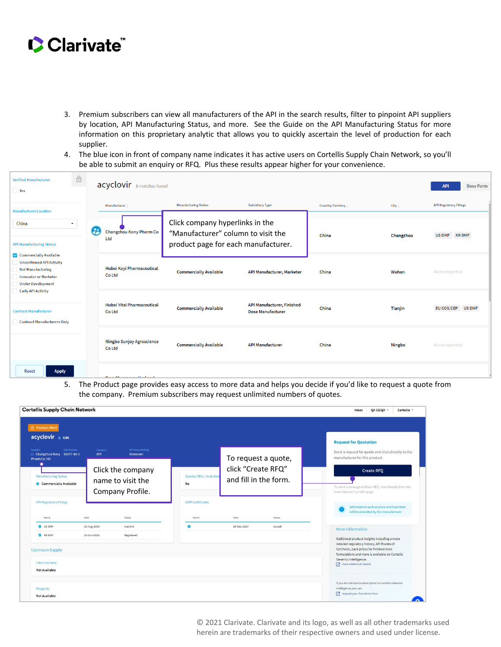

- 3. Premium subscribers can view all manufacturers of the API in the search results, filter to pinpoint API suppliers by location, API Manufacturing Status, and more. See the Guide on the API Manufacturing Status for more information on this proprietary analytic that allows you to quickly ascertain the level of production for each supplier.
- 4. The blue icon in front of company name indicates it has active users on Cortellis Supply Chain Network, so you'll be able to submit an enquiry or RFQ. Plus these results appear higher for your convenience.

| <b>Verified Manufacturer</b><br>Yes                                                                                                                                            | $\bigoplus$ | acyclovir 8 matches found                                       |                                                                                                              |                                                        |                   |               | <b>API</b><br><b>Dose Form</b> |
|--------------------------------------------------------------------------------------------------------------------------------------------------------------------------------|-------------|-----------------------------------------------------------------|--------------------------------------------------------------------------------------------------------------|--------------------------------------------------------|-------------------|---------------|--------------------------------|
| <b>Manufacturer Location</b>                                                                                                                                                   |             | Manufacturer                                                    | <b>Manufacturing Status</b>                                                                                  | <b>Subsidiary Type</b>                                 | Country/Territory | City          | <b>API Regulatory Filings</b>  |
| China<br>۰<br><b>API Manufacturing Status</b>                                                                                                                                  |             | æ<br>Changzhou Kony Pharm Co<br>Ltd                             | Click company hyperlinks in the<br>"Manufacturer" column to visit the<br>product page for each manufacturer. |                                                        | China             | Changzhou     | US DMF KR DMF                  |
| Commercially Available<br><b>Unconfirmed API Activity</b><br><b>Not Manufacturing</b><br><b>Innovator or Marketer</b><br><b>Under Development</b><br><b>Early API Activity</b> |             | Hubei Keyi Pharmaceutical<br>Co Ltd                             | <b>Commercially Available</b>                                                                                | API Manufacturer, Marketer                             | China             | Wuhan         | None reported                  |
| <b>Contract Manufacturer</b><br><b>Contract Manufacturers Only</b>                                                                                                             |             | Hubei Yitai Pharmaceutical<br>Co Ltd                            | <b>Commercially Available</b>                                                                                | API Manufacturer, Finished<br><b>Dose Manufacturer</b> | China             | Tianjin       | EU COS/CEP<br><b>US DMF</b>    |
|                                                                                                                                                                                |             | <b>Ningbo Sunjoy Agroscience</b><br>Co Ltd                      | <b>Commercially Available</b>                                                                                | <b>API Manufacturer</b>                                | China             | <b>Ningbo</b> | None reported                  |
| <b>Apply</b><br>Reset                                                                                                                                                          |             | <b>The contribution of the contribution of the contribution</b> |                                                                                                              |                                                        |                   |               |                                |

5. The Product page provides easy access to more data and helps you decide if you'd like to request a quote from the company. Premium subscribers may request unlimited numbers of quotes.

| <b>Cortellis Supply Chain Network</b>                                                     |                                                            |                                        |                                                                    | QA CGIQA -<br>Cortellis =<br>Inbox                                                                                                                                                                                                                      |
|-------------------------------------------------------------------------------------------|------------------------------------------------------------|----------------------------------------|--------------------------------------------------------------------|---------------------------------------------------------------------------------------------------------------------------------------------------------------------------------------------------------------------------------------------------------|
| <b>合 Product Alert</b><br>acyclovir o Edit                                                |                                                            |                                        |                                                                    | <b>Request for Quotation</b>                                                                                                                                                                                                                            |
| <b>CAS Number</b><br>Supplier<br>Changzhou Kony 59277-89-3                                | API Price (SUS/kg)<br>Category<br>API<br><b>Unknown</b>    |                                        |                                                                    | Send a request for quote and chat directly to the<br>manufacturer for this product.                                                                                                                                                                     |
| <b>Pharm Co Ltd</b><br>$\bullet$<br><b>Manufacturing Status</b><br>Commercially Available | Click the company<br>name to visit the<br>Company Profile. | Special Offer / Bulk Deal<br><b>No</b> | To request a quote,<br>click "Create RFQ"<br>and fill in the form. | <b>Create RFQ</b><br>To send a message without RFQ, chat directly from the<br>manufacturer's profile page.                                                                                                                                              |
| <b>API Regulatory Filings</b><br>Name                                                     | Date<br>Status                                             | <b>GMP Certificates</b><br>Name        | Date<br>Status                                                     | Information such as price and lead time<br>will be provided by the manufacturer                                                                                                                                                                         |
| US DMF                                                                                    | 02-Aug-2004<br>Inactive                                    | ۰                                      | 26-Dec-2017<br>Issued                                              | More Information                                                                                                                                                                                                                                        |
| <b>CO</b> KR DMF<br><b>Upstream Supply</b><br>Intermediates<br>Not Available              | Registered<br>30-Jun-2004                                  |                                        |                                                                    | Additional product insights including a more<br>detailed regulatory history, API Routes of<br>Synthesis, pack prices for finished dose<br>formulations and more is available on Cortellis<br>Generics Intelligence.<br><b>7</b> View Additional Details |
| Reagents<br><b>Not Available</b>                                                          |                                                            |                                        |                                                                    | If you do not have a subscription to Cortellis Generics<br>Intelligence, you can<br><b>7</b> request your free demo here                                                                                                                                |

© 2021 Clarivate. Clarivate and its logo, as well as all other trademarks used herein are trademarks of their respective owners and used under license.